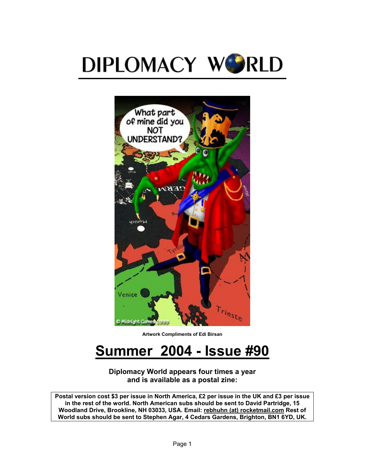



**Artwork Compliments of Edi Birsan** 

# **Summer 2004 - Issue #90**

#### **Diplomacy World appears four times a year and is available as a postal zine:**

**Postal version cost \$3 per issue in North America, £2 per issue in the UK and £3 per issue in the rest of the world. North American subs should be sent to David Partridge, 15 Woodland Drive, Brookline, NH 03033, USA. Email: rebhuhn (at) rocketmail.com Rest of World subs should be sent to Stephen Agar, 4 Cedars Gardens, Brighton, BN1 6YD, UK.**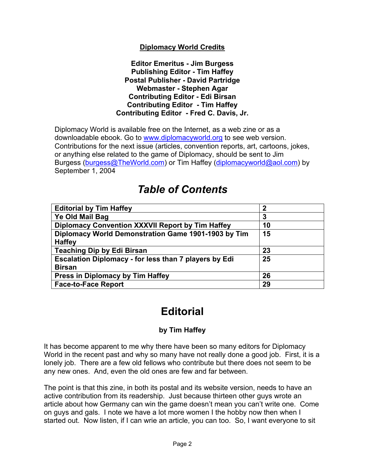### **Diplomacy World Credits**

#### **Editor Emeritus - Jim Burgess Publishing Editor - Tim Haffey Postal Publisher - David Partridge Webmaster - Stephen Agar Contributing Editor - Edi Birsan Contributing Editor - Tim Haffey Contributing Editor - Fred C. Davis, Jr.**

Diplomacy World is available free on the Internet, as a web zine or as a downloadable ebook. Go to [www.diplomacyworld.org](http://www.diplomacyworld.org/) to see web version. Contributions for the next issue (articles, convention reports, art, cartoons, jokes, or anything else related to the game of Diplomacy, should be sent to Jim Burgess [\(burgess@TheWorld.com\)](mailto:burgess@TheWorld.com) or Tim Haffey ([diplomacyworld@aol.com](mailto:diplomacyworld@aol.com)) by September 1, 2004

# *Table of Contents*

| <b>Editorial by Tim Haffey</b>                        | $\mathbf 2$ |
|-------------------------------------------------------|-------------|
| Ye Old Mail Bag                                       | 3           |
| Diplomacy Convention XXXVII Report by Tim Haffey      | 10          |
| Diplomacy World Demonstration Game 1901-1903 by Tim   | 15          |
| <b>Haffey</b>                                         |             |
| <b>Teaching Dip by Edi Birsan</b>                     | 23          |
| Escalation Diplomacy - for less than 7 players by Edi | 25          |
| <b>Birsan</b>                                         |             |
| Press in Diplomacy by Tim Haffey                      | 26          |
| <b>Face-to-Face Report</b>                            | 29          |

# **Editorial**

# **by Tim Haffey**

It has become apparent to me why there have been so many editors for Diplomacy World in the recent past and why so many have not really done a good job. First, it is a lonely job. There are a few old fellows who contribute but there does not seem to be any new ones. And, even the old ones are few and far between.

The point is that this zine, in both its postal and its website version, needs to have an active contribution from its readership. Just because thirteen other guys wrote an article about how Germany can win the game doesn't mean you can't write one. Come on guys and gals. I note we have a lot more women I the hobby now then when I started out. Now listen, if I can wrie an article, you can too. So, I want everyone to sit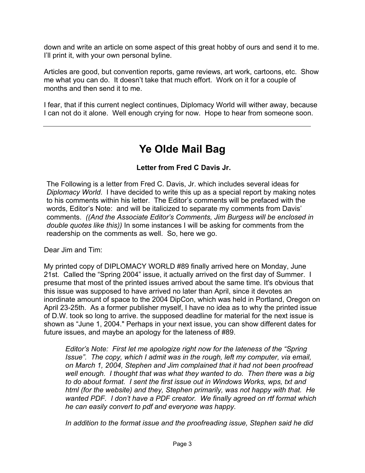down and write an article on some aspect of this great hobby of ours and send it to me. I'll print it, with your own personal byline.

Articles are good, but convention reports, game reviews, art work, cartoons, etc. Show me what you can do. It doesn't take that much effort. Work on it for a couple of months and then send it to me.

I fear, that if this current neglect continues, Diplomacy World will wither away, because I can not do it alone. Well enough crying for now. Hope to hear from someone soon.

# **Ye Olde Mail Bag**

### **Letter from Fred C Davis Jr.**

The Following is a letter from Fred C. Davis, Jr. which includes several ideas for *Diplomacy World*. I have decided to write this up as a special report by making notes to his comments within his letter. The Editor's comments will be prefaced with the words, Editor's Note: and will be italicized to separate my comments from Davis' comments. *((And the Associate Editor's Comments, Jim Burgess will be enclosed in double quotes like this))* In some instances I will be asking for comments from the readership on the comments as well. So, here we go.

Dear Jim and Tim:

My printed copy of DIPLOMACY WORLD #89 finally arrived here on Monday, June 21st. Called the "Spring 2004" issue, it actually arrived on the first day of Summer. I presume that most of the printed issues arrived about the same time. It's obvious that this issue was supposed to have arrived no later than April, since it devotes an inordinate amount of space to the 2004 DipCon, which was held in Portland, Oregon on April 23-25th. As a former publisher myself, I have no idea as to why the printed issue of D.W. took so long to arrive. the supposed deadline for material for the next issue is shown as "June 1, 2004." Perhaps in your next issue, you can show different dates for future issues, and maybe an apology for the lateness of #89.

*Editor's Note: First let me apologize right now for the lateness of the "Spring Issue". The copy, which I admit was in the rough, left my computer, via email, on March 1, 2004, Stephen and Jim complained that it had not been proofread well enough. I thought that was what they wanted to do. Then there was a big to do about format. I sent the first issue out in Windows Works, wps, txt and html (for the website) and they, Stephen primarily, was not happy with that. He wanted PDF. I don't have a PDF creator. We finally agreed on rtf format which he can easily convert to pdf and everyone was happy.* 

*In addition to the format issue and the proofreading issue, Stephen said he did*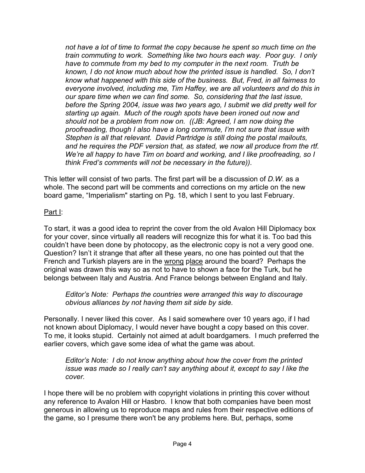*not have a lot of time to format the copy because he spent so much time on the train commuting to work. Something like two hours each way. Poor guy. I only have to commute from my bed to my computer in the next room. Truth be known, I do not know much about how the printed issue is handled. So, I don't know what happened with this side of the business. But, Fred, in all fairness to everyone involved, including me, Tim Haffey, we are all volunteers and do this in our spare time when we can find some. So, considering that the last issue, before the Spring 2004, issue was two years ago, I submit we did pretty well for starting up again. Much of the rough spots have been ironed out now and should not be a problem from now on. ((JB: Agreed, I am now doing the proofreading, though I also have a long commute, I'm not sure that issue with Stephen is all that relevant. David Partridge is still doing the postal mailouts, and he requires the PDF version that, as stated, we now all produce from the rtf. We're all happy to have Tim on board and working, and I like proofreading, so I think Fred's comments will not be necessary in the future)).*

This letter will consist of two parts. The first part will be a discussion of *D.W.* as a whole. The second part will be comments and corrections on my article on the new board game, "Imperialism" starting on Pg. 18, which I sent to you last February.

# Part I:

To start, it was a good idea to reprint the cover from the old Avalon Hill Diplomacy box for your cover, since virtually all readers will recognize this for what it is. Too bad this couldn't have been done by photocopy, as the electronic copy is not a very good one. Question? Isn't it strange that after all these years, no one has pointed out that the French and Turkish players are in the wrong place around the board? Perhaps the original was drawn this way so as not to have to shown a face for the Turk, but he belongs between Italy and Austria. And France belongs between England and Italy.

*Editor's Note: Perhaps the countries were arranged this way to discourage obvious alliances by not having them sit side by side.*

Personally. I never liked this cover. As I said somewhere over 10 years ago, if I had not known about Diplomacy, I would never have bought a copy based on this cover. To me, it looks stupid. Certainly not aimed at adult boardgamers. I much preferred the earlier covers, which gave some idea of what the game was about.

*Editor's Note: I do not know anything about how the cover from the printed issue was made so I really can't say anything about it, except to say I like the cover.* 

I hope there will be no problem with copyright violations in printing this cover without any reference to Avalon Hill or Hasbro. I know that both companies have been most generous in allowing us to reproduce maps and rules from their respective editions of the game, so I presume there won't be any problems here. But, perhaps, some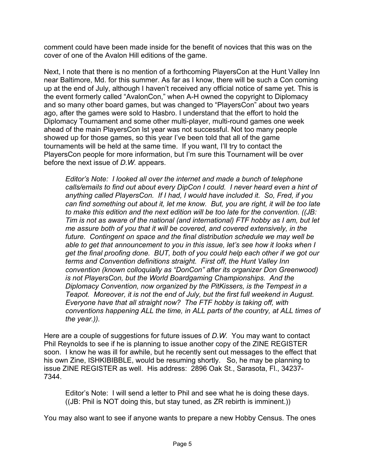comment could have been made inside for the benefit of novices that this was on the cover of one of the Avalon Hill editions of the game.

Next, I note that there is no mention of a forthcoming PlayersCon at the Hunt Valley Inn near Baltimore, Md. for this summer. As far as I know, there will be such a Con coming up at the end of July, although I haven't received any official notice of same yet. This is the event formerly called "AvalonCon," when A-H owned the copyright to Diplomacy and so many other board games, but was changed to "PlayersCon" about two years ago, after the games were sold to Hasbro. I understand that the effort to hold the Diplomacy Tournament and some other multi-player, multi-round games one week ahead of the main PlayersCon lst year was not successful. Not too many people showed up for those games, so this year I've been told that all of the game tournaments will be held at the same time. If you want, I'll try to contact the PlayersCon people for more information, but I'm sure this Tournament will be over before the next issue of *D.W.* appears.

*Editor's Note: I looked all over the internet and made a bunch of telephone*  calls/emails to find out about every DipCon I could. I never heard even a hint of *anything called PlayersCon. If I had, I would have included it. So, Fred, if you can find something out about it, let me know. But, you are right, it will be too late to make this edition and the next edition will be too late for the convention. ((JB: Tim is not as aware of the national (and international) FTF hobby as I am, but let me assure both of you that it will be covered, and covered extensively, in the future. Contingent on space and the final distribution schedule we may well be able to get that announcement to you in this issue, let's see how it looks when I get the final proofing done. BUT, both of you could help each other if we got our terms and Convention definitions straight. First off, the Hunt Valley Inn convention (known colloquially as "DonCon" after its organizer Don Greenwood) is not PlayersCon, but the World Boardgaming Championships. And the Diplomacy Convention, now organized by the PitKissers, is the Tempest in a Teapot. Moreover, it is not the end of July, but the first full weekend in August. Everyone have that all straight now? The FTF hobby is taking off, with conventions happening ALL the time, in ALL parts of the country, at ALL times of the year.)).* 

Here are a couple of suggestions for future issues of *D.W.* You may want to contact Phil Reynolds to see if he is planning to issue another copy of the ZINE REGISTER soon. I know he was ill for awhile, but he recently sent out messages to the effect that his own Zine, ISHKIBIBBLE, would be resuming shortly. So, he may be planning to issue ZINE REGISTER as well. His address: 2896 Oak St., Sarasota, Fl., 34237- 7344.

Editor's Note: I will send a letter to Phil and see what he is doing these days. ((JB: Phil is NOT doing this, but stay tuned, as ZR rebirth is imminent.))

You may also want to see if anyone wants to prepare a new Hobby Census. The ones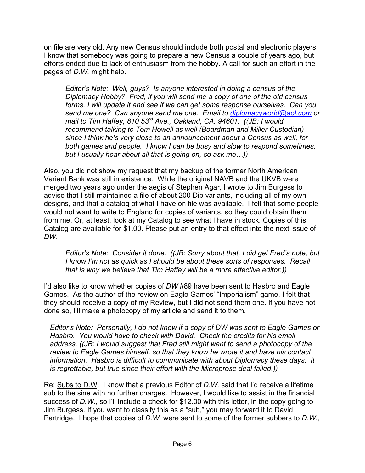on file are very old. Any new Census should include both postal and electronic players. I know that somebody was going to prepare a new Census a couple of years ago, but efforts ended due to lack of enthusiasm from the hobby. A call for such an effort in the pages of *D.W.* might help.

*Editor's Note: Well, guys? Is anyone interested in doing a census of the Diplomacy Hobby? Fred, if you will send me a copy of one of the old census forms, I will update it and see if we can get some response ourselves. Can you send me one? Can anyone send me one. Email to [diplomacyworld@aol.com](mailto:diplomacyworld@aol.com) or mail to Tim Haffey, 810 53rd Ave., Oakland, CA. 94601. ((JB: I would recommend talking to Tom Howell as well (Boardman and Miller Custodian) since I think he's very close to an announcement about a Census as well, for both games and people. I know I can be busy and slow to respond sometimes, but I usually hear about all that is going on, so ask me…))* 

Also, you did not show my request that my backup of the former North American Variant Bank was still in existence. While the original NAVB and the UKVB were merged two years ago under the aegis of Stephen Agar, I wrote to Jim Burgess to advise that I still maintained a file of about 200 Dip variants, including all of my own designs, and that a catalog of what I have on file was available. I felt that some people would not want to write to England for copies of variants, so they could obtain them from me. Or, at least, look at my Catalog to see what I have in stock. Copies of this Catalog are available for \$1.00. Please put an entry to that effect into the next issue of *DW*.

*Editor's Note: Consider it done. ((JB: Sorry about that, I did get Fred's note, but I know I'm not as quick as I should be about these sorts of responses. Recall that is why we believe that Tim Haffey will be a more effective editor.))* 

I'd also like to know whether copies of *DW* #89 have been sent to Hasbro and Eagle Games. As the author of the review on Eagle Games' "Imperialism" game, I felt that they should receive a copy of my Review, but I did not send them one. If you have not done so, I'll make a photocopy of my article and send it to them.

*Editor's Note: Personally, I do not know if a copy of DW was sent to Eagle Games or Hasbro. You would have to check with David. Check the credits for his email address. ((JB: I would suggest that Fred still might want to send a photocopy of the review to Eagle Games himself, so that they know he wrote it and have his contact information. Hasbro is difficult to communicate with about Diplomacy these days. It is regrettable, but true since their effort with the Microprose deal failed.))*

Re: Subs to D.W. I know that a previous Editor of *D.W.* said that I'd receive a lifetime sub to the sine with no further charges. However, I would like to assist in the financial success of D.W., so I'll include a check for \$12.00 with this letter, in the copy going to Jim Burgess. If you want to classify this as a "sub," you may forward it to David Partridge. I hope that copies of *D.W.* were sent to some of the former subbers to *D.W.*,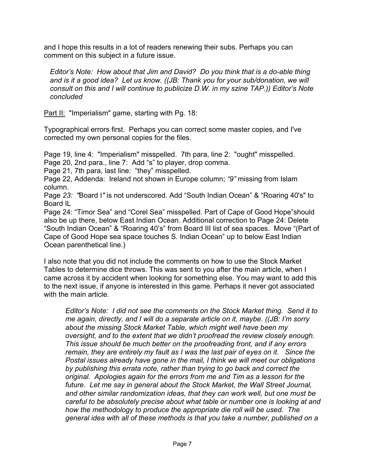and I hope this results in a lot of readers renewing their subs. Perhaps you can comment on this subject in a future issue.

*Editor's Note: How about that Jim and David? Do you think that is a do-able thing and is it a good idea? Let us know. ((JB: Thank you for your sub/donation, we will consult on this and I will continue to publicize D.W. in my szine TAP.)) Editor's Note concluded* 

Part II: "Imperialism" game, starting with Pg. 18:

Typographical errors first. Perhaps you can correct some master copies, and I've corrected my own personal copies for the files.

Page 19, line 4: "Imperialism" misspelled. 7th para, line 2: "ought" misspelled. Page 20, 2nd para., line 7: Add "s" to player, drop comma.

Page 21, 7th para, last line: "they" misspelled.

Page 22, Addenda: Ireland not shown in Europe column; *"9"* missing from Islam column.

Page *23: "*Board I*"* is not underscored. Add "South Indian Ocean" & "Roaring 40's" to Board IL

Page 24: "Timor Sea" and "Corel Sea" misspelled. Part of Cape of Good Hope"should also be up there, below East Indian Ocean. Additional correction to Page 24: Delete "South Indian Ocean" & "Roaring 40's" from Board III list of sea spaces. Move "(Part of Cape of Good Hope sea space touches S. Indian Ocean" up to below East Indian Ocean parenthetical line.)

I also note that you did not include the comments on how to use the Stock Market Tables to determine dice throws. This was sent to you after the main article, when I came across it by accident when looking for something else. You may want to add this to the next issue, if anyone is interested in this game. Perhaps it never got associated with the main article.

*Editor's Note: I did not see the comments on the Stock Market thing. Send it to me again, directly, and I will do a separate article on it, maybe. ((JB: I'm sorry about the missing Stock Market Table, which might well have been my oversight, and to the extent that we didn't proofread the review closely enough. This issue should be much better on the proofreading front, and if any errors remain, they are entirely my fault as I was the last pair of eyes on it. Since the Postal issues already have gone in the mail, I think we will meet our obligations by publishing this errata note, rather than trying to go back and correct the original. Apologies again for the errors from me and Tim as a lesson for the future. Let me say in general about the Stock Market, the Wall Street Journal, and other similar randomization ideas, that they can work well, but one must be careful to be absolutely precise about what table or number one is looking at and how the methodology to produce the appropriate die roll will be used. The general idea with all of these methods is that you take a number, published on a*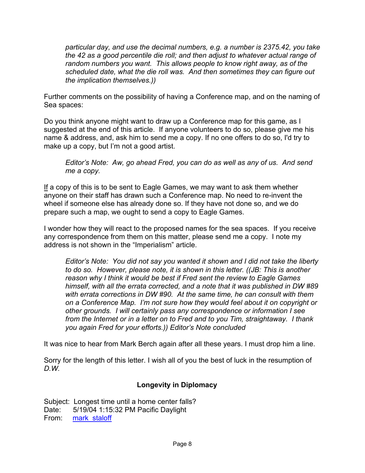*particular day, and use the decimal numbers, e.g. a number is 2375.42, you take the 42 as a good percentile die roll; and then adjust to whatever actual range of random numbers you want. This allows people to know right away, as of the scheduled date, what the die roll was. And then sometimes they can figure out the implication themselves.))* 

Further comments on the possibility of having a Conference map, and on the naming of Sea spaces:

Do you think anyone might want to draw up a Conference map for this game, as I suggested at the end of this article. If anyone volunteers to do so, please give me his name & address, and, ask him to send me a copy. If no one offers to do so, I'd try to make up a copy, but I'm not a good artist.

*Editor's Note: Aw, go ahead Fred, you can do as well as any of us. And send me a copy.*

If a copy of this is to be sent to Eagle Games, we may want to ask them whether anyone on their staff has drawn such a Conference map. No need to re-invent the wheel if someone else has already done so. If they have not done so, and we do prepare such a map, we ought to send a copy to Eagle Games.

I wonder how they will react to the proposed names for the sea spaces. If you receive any correspondence from them on this matter, please send me a copy. I note my address is not shown in the "Imperialism" article.

*Editor's Note: You did not say you wanted it shown and I did not take the liberty to do so. However, please note, it is shown in this letter. ((JB: This is another reason why I think it would be best if Fred sent the review to Eagle Games himself, with all the errata corrected, and a note that it was published in DW #89 with errata corrections in DW #90. At the same time, he can consult with them on a Conference Map. I'm not sure how they would feel about it on copyright or other grounds. I will certainly pass any correspondence or information I see from the Internet or in a letter on to Fred and to you Tim, straightaway. I thank you again Fred for your efforts.)) Editor's Note concluded* 

It was nice to hear from Mark Berch again after all these years. I must drop him a line.

Sorry for the length of this letter. I wish all of you the best of luck in the resumption of *D.W.* 

### **Longevity in Diplomacy**

Subject: Longest time until a home center falls? Date: 5/19/04 1:15:32 PM Pacific Daylight From: mark staloff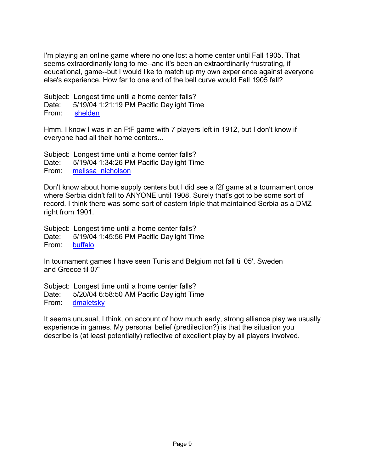I'm playing an online game where no one lost a home center until Fall 1905. That seems extraordinarily long to me--and it's been an extraordinarily frustrating, if educational, game--but I would like to match up my own experience against everyone else's experience. How far to one end of the bell curve would Fall 1905 fall?

Subject: Longest time until a home center falls? Date: 5/19/04 1:21:19 PM Pacific Daylight Time From: shelden

Hmm. I know I was in an FtF game with 7 players left in 1912, but I don't know if everyone had all their home centers...

Subject: Longest time until a home center falls? Date: 5/19/04 1:34:26 PM Pacific Daylight Time From: melissa\_nicholson

Don't know about home supply centers but I did see a f2f game at a tournament once where Serbia didn't fall to ANYONE until 1908. Surely that's got to be some sort of record. I think there was some sort of eastern triple that maintained Serbia as a DMZ right from 1901.

Subject: Longest time until a home center falls? Date: 5/19/04 1:45:56 PM Pacific Daylight Time From: buffalo

In tournament games I have seen Tunis and Belgium not fall til 05', Sweden and Greece til 07'

Subject: Longest time until a home center falls? Date: 5/20/04 6:58:50 AM Pacific Daylight Time From: dmaletsky

It seems unusual, I think, on account of how much early, strong alliance play we usually experience in games. My personal belief (predilection?) is that the situation you describe is (at least potentially) reflective of excellent play by all players involved.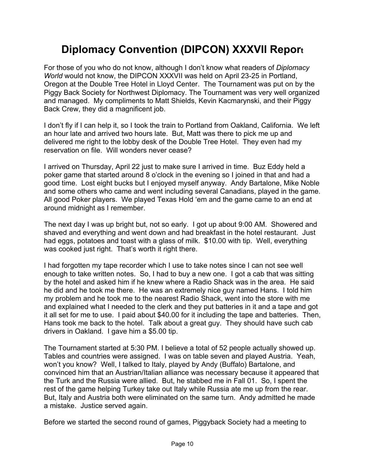# **Diplomacy Convention (DIPCON) XXXVII Report**

For those of you who do not know, although I don't know what readers of *Diplomacy World* would not know, the DIPCON XXXVII was held on April 23-25 in Portland, Oregon at the Double Tree Hotel in Lloyd Center. The Tournament was put on by the Piggy Back Society for Northwest Diplomacy. The Tournament was very well organized and managed. My compliments to Matt Shields, Kevin Kacmarynski, and their Piggy Back Crew, they did a magnificent job.

I don't fly if I can help it, so I took the train to Portland from Oakland, California. We left an hour late and arrived two hours late. But, Matt was there to pick me up and delivered me right to the lobby desk of the Double Tree Hotel. They even had my reservation on file. Will wonders never cease?

I arrived on Thursday, April 22 just to make sure I arrived in time. Buz Eddy held a poker game that started around 8 o'clock in the evening so I joined in that and had a good time. Lost eight bucks but I enjoyed myself anyway. Andy Bartalone, Mike Noble and some others who came and went including several Canadians, played in the game. All good Poker players. We played Texas Hold 'em and the game came to an end at around midnight as I remember.

The next day I was up bright but, not so early. I got up about 9:00 AM. Showered and shaved and everything and went down and had breakfast in the hotel restaurant. Just had eggs, potatoes and toast with a glass of milk. \$10.00 with tip. Well, everything was cooked just right. That's worth it right there.

I had forgotten my tape recorder which I use to take notes since I can not see well enough to take written notes. So, I had to buy a new one. I got a cab that was sitting by the hotel and asked him if he knew where a Radio Shack was in the area. He said he did and he took me there. He was an extremely nice guy named Hans. I told him my problem and he took me to the nearest Radio Shack, went into the store with me and explained what I needed to the clerk and they put batteries in it and a tape and got it all set for me to use. I paid about \$40.00 for it including the tape and batteries. Then, Hans took me back to the hotel. Talk about a great guy. They should have such cab drivers in Oakland. I gave him a \$5.00 tip.

The Tournament started at 5:30 PM. I believe a total of 52 people actually showed up. Tables and countries were assigned. I was on table seven and played Austria. Yeah, won't you know? Well, I talked to Italy, played by Andy (Buffalo) Bartalone, and convinced him that an Austrian/Italian alliance was necessary because it appeared that the Turk and the Russia were allied. But, he stabbed me in Fall 01. So, I spent the rest of the game helping Turkey take out Italy while Russia ate me up from the rear. But, Italy and Austria both were eliminated on the same turn. Andy admitted he made a mistake. Justice served again.

Before we started the second round of games, Piggyback Society had a meeting to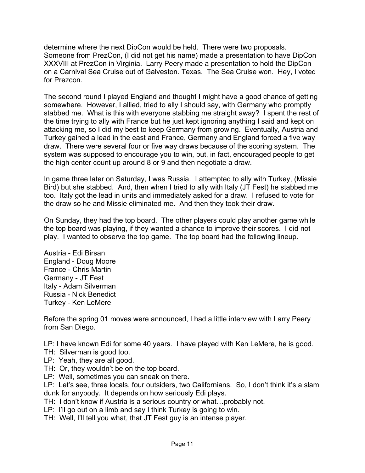determine where the next DipCon would be held. There were two proposals. Someone from PrezCon, (I did not get his name) made a presentation to have DipCon XXXVIII at PrezCon in Virginia. Larry Peery made a presentation to hold the DipCon on a Carnival Sea Cruise out of Galveston. Texas. The Sea Cruise won. Hey, I voted for Prezcon.

The second round I played England and thought I might have a good chance of getting somewhere. However, I allied, tried to ally I should say, with Germany who promptly stabbed me. What is this with everyone stabbing me straight away? I spent the rest of the time trying to ally with France but he just kept ignoring anything I said and kept on attacking me, so I did my best to keep Germany from growing. Eventually, Austria and Turkey gained a lead in the east and France, Germany and England forced a five way draw. There were several four or five way draws because of the scoring system. The system was supposed to encourage you to win, but, in fact, encouraged people to get the high center count up around 8 or 9 and then negotiate a draw.

In game three later on Saturday, I was Russia. I attempted to ally with Turkey, (Missie Bird) but she stabbed. And, then when I tried to ally with Italy (JT Fest) he stabbed me too. Italy got the lead in units and immediately asked for a draw. I refused to vote for the draw so he and Missie eliminated me. And then they took their draw.

On Sunday, they had the top board. The other players could play another game while the top board was playing, if they wanted a chance to improve their scores. I did not play. I wanted to observe the top game. The top board had the following lineup.

Austria - Edi Birsan England - Doug Moore France - Chris Martin Germany - JT Fest Italy - Adam Silverman Russia - Nick Benedict Turkey - Ken LeMere

Before the spring 01 moves were announced, I had a little interview with Larry Peery from San Diego.

LP: I have known Edi for some 40 years. I have played with Ken LeMere, he is good.

- TH: Silverman is good too.
- LP: Yeah, they are all good.
- TH: Or, they wouldn't be on the top board.
- LP: Well, sometimes you can sneak on there.

LP: Let's see, three locals, four outsiders, two Californians. So, I don't think it's a slam dunk for anybody. It depends on how seriously Edi plays.

TH: I don't know if Austria is a serious country or what…probably not.

- LP: I'll go out on a limb and say I think Turkey is going to win.
- TH: Well, I'll tell you what, that JT Fest guy is an intense player.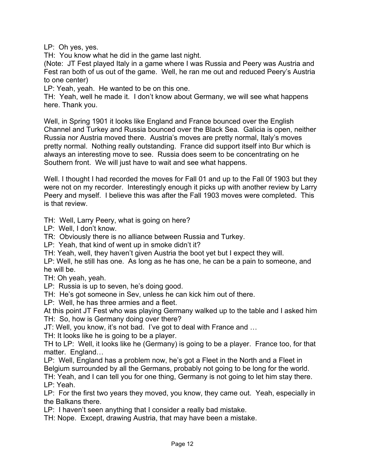LP: Oh yes, yes.

TH: You know what he did in the game last night.

(Note: JT Fest played Italy in a game where I was Russia and Peery was Austria and Fest ran both of us out of the game. Well, he ran me out and reduced Peery's Austria to one center)

LP: Yeah, yeah. He wanted to be on this one.

TH: Yeah, well he made it. I don't know about Germany, we will see what happens here. Thank you.

Well, in Spring 1901 it looks like England and France bounced over the English Channel and Turkey and Russia bounced over the Black Sea. Galicia is open, neither Russia nor Austria moved there. Austria's moves are pretty normal, Italy's moves pretty normal. Nothing really outstanding. France did support itself into Bur which is always an interesting move to see. Russia does seem to be concentrating on he Southern front. We will just have to wait and see what happens.

Well. I thought I had recorded the moves for Fall 01 and up to the Fall 0f 1903 but they were not on my recorder. Interestingly enough it picks up with another review by Larry Peery and myself. I believe this was after the Fall 1903 moves were completed. This is that review.

TH: Well, Larry Peery, what is going on here?

LP: Well, I don't know.

TR: Obviously there is no alliance between Russia and Turkey.

LP: Yeah, that kind of went up in smoke didn't it?

TH: Yeah, well, they haven't given Austria the boot yet but I expect they will.

LP: Well, he still has one. As long as he has one, he can be a pain to someone, and he will be.

TH: Oh yeah, yeah.

LP: Russia is up to seven, he's doing good.

TH: He's got someone in Sev, unless he can kick him out of there.

LP: Well, he has three armies and a fleet.

At this point JT Fest who was playing Germany walked up to the table and I asked him TH: So, how is Germany doing over there?

JT: Well, you know, it's not bad. I've got to deal with France and …

TH: It looks like he is going to be a player.

TH to LP: Well, it looks like he (Germany) is going to be a player. France too, for that matter. England…

LP: Well, England has a problem now, he's got a Fleet in the North and a Fleet in Belgium surrounded by all the Germans, probably not going to be long for the world.

TH: Yeah, and I can tell you for one thing, Germany is not going to let him stay there. LP: Yeah.

LP: For the first two years they moved, you know, they came out. Yeah, especially in the Balkans there.

LP: I haven't seen anything that I consider a really bad mistake.

TH: Nope. Except, drawing Austria, that may have been a mistake.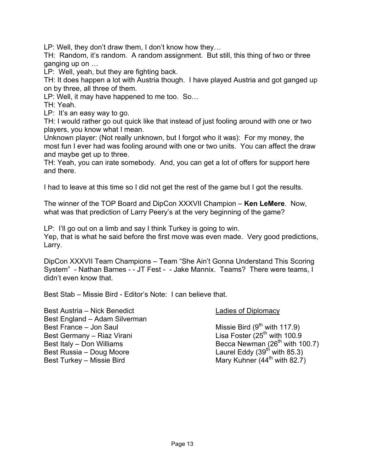LP: Well, they don't draw them, I don't know how they…

TH: Random, it's random. A random assignment. But still, this thing of two or three ganging up on …

LP: Well, yeah, but they are fighting back.

TH: It does happen a lot with Austria though. I have played Austria and got ganged up on by three, all three of them.

LP: Well, it may have happened to me too. So…

TH: Yeah.

LP: It's an easy way to go.

TH: I would rather go out quick like that instead of just fooling around with one or two players, you know what I mean.

Unknown player: (Not really unknown, but I forgot who it was): For my money, the most fun I ever had was fooling around with one or two units. You can affect the draw and maybe get up to three.

TH: Yeah, you can irate somebody. And, you can get a lot of offers for support here and there.

I had to leave at this time so I did not get the rest of the game but I got the results.

The winner of the TOP Board and DipCon XXXVII Champion – **Ken LeMere**. Now, what was that prediction of Larry Peery's at the very beginning of the game?

LP: I'll go out on a limb and say I think Turkey is going to win.

Yep, that is what he said before the first move was even made. Very good predictions, Larry.

DipCon XXXVII Team Champions – Team "She Ain't Gonna Understand This Scoring System" - Nathan Barnes - - JT Fest - - Jake Mannix. Teams? There were teams, I didn't even know that.

Best Stab – Missie Bird - Editor's Note: I can believe that.

Best Austria – Nick Benedict Ladies of Diplomacy Best England – Adam Silverman Best France – Jon Saul  $\overline{a}$  Missie Bird (9<sup>th</sup> with 117.9) Best Germany – Riaz Virani  $\frac{1}{25}$  Lisa Foster (25<sup>th</sup> with 100.9 Best Italy – Don Williams Becca Newman ( $26<sup>th</sup>$  with 100.7) Best Russia – Doug Moore Laurel Eddy (39<sup>th</sup> with 85.3) Best Turkey – Missie Bird Mary Kuhner (44<sup>th</sup> with 82.7)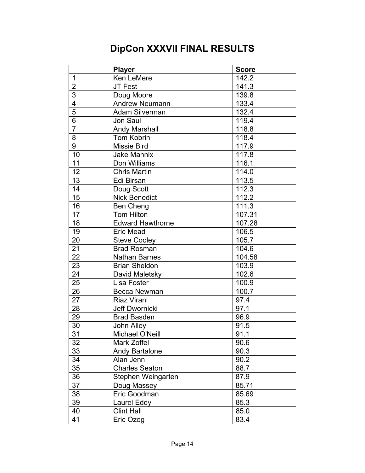# **DipCon XXXVII FINAL RESULTS**

|                 | <b>Player</b>           | <b>Score</b>        |
|-----------------|-------------------------|---------------------|
| 1               | Ken LeMere              | 142.2               |
| $\overline{2}$  | JT Fest                 | 141.3               |
| $\overline{3}$  | Doug Moore              | 139.8               |
| $\overline{4}$  | Andrew Neumann          | 133.4               |
| $\overline{5}$  | Adam Silverman          | 132.4               |
| $\overline{6}$  | Jon Saul                | 119.4               |
| $\overline{7}$  | <b>Andy Marshall</b>    | 118.8               |
| 8               | <b>Tom Kobrin</b>       | 118.4               |
| $\overline{9}$  | <b>Missie Bird</b>      | 117.9               |
| 10              | <b>Jake Mannix</b>      | 117.8               |
| 11              | Don Williams            | 116.1               |
| 12              | <b>Chris Martin</b>     | 114.0               |
| 13              | Edi Birsan              | 113.5               |
| 14              | Doug Scott              | 112.3               |
| 15              | <b>Nick Benedict</b>    | 112.2               |
| 16              | <b>Ben Cheng</b>        | 111.3               |
| 17              | <b>Tom Hilton</b>       | $107.\overline{31}$ |
| 18              | <b>Edward Hawthorne</b> | 107.28              |
| 19              | Eric Mead               | 106.5               |
| 20              | <b>Steve Cooley</b>     | 105.7               |
| 21              | <b>Brad Rosman</b>      | 104.6               |
| $\overline{22}$ | <b>Nathan Barnes</b>    | 104.58              |
| 23              | <b>Brian Sheldon</b>    | 103.9               |
| 24              | David Maletsky          | 102.6               |
| 25              | Lisa Foster             | 100.9               |
| 26              | <b>Becca Newman</b>     | 100.7               |
| 27              | Riaz Virani             | 97.4                |
| 28              | Jeff Dwornicki          | 97.1                |
| 29              | <b>Brad Basden</b>      | 96.9                |
| $\overline{30}$ | <b>John Alley</b>       | 91.5                |
| $\overline{31}$ | Michael O'Neill         | 91.1                |
| 32              | Mark Zoffel             | 90.6                |
| 33              | <b>Andy Bartalone</b>   | 90.3                |
| 34              | Alan Jenn               | 90.2                |
| 35              | <b>Charles Seaton</b>   | 88.7                |
| 36              | Stephen Weingarten      | 87.9                |
| 37              | Doug Massey             | 85.71               |
| 38              | Eric Goodman            | 85.69               |
| 39              | Laurel Eddy             | 85.3                |
| 40              | <b>Clint Hall</b>       | 85.0                |
| 41              | Eric Ozog               | 83.4                |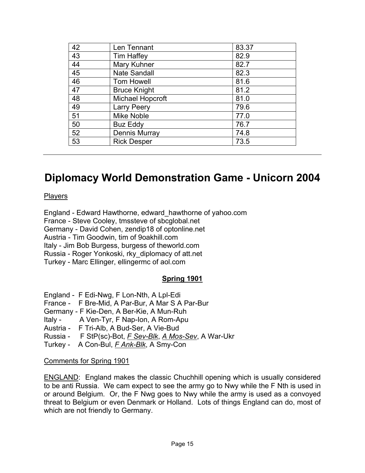| 42 | Len Tennant             | 83.37 |
|----|-------------------------|-------|
| 43 | <b>Tim Haffey</b>       | 82.9  |
| 44 | Mary Kuhner             | 82.7  |
| 45 | <b>Nate Sandall</b>     | 82.3  |
| 46 | Tom Howell              | 81.6  |
| 47 | <b>Bruce Knight</b>     | 81.2  |
| 48 | <b>Michael Hopcroft</b> | 81.0  |
| 49 | <b>Larry Peery</b>      | 79.6  |
| 51 | <b>Mike Noble</b>       | 77.0  |
| 50 | <b>Buz Eddy</b>         | 76.7  |
| 52 | <b>Dennis Murray</b>    | 74.8  |
| 53 | <b>Rick Desper</b>      | 73.5  |

# **Diplomacy World Demonstration Game - Unicorn 2004**

**Players** 

England - Edward Hawthorne, edward\_hawthorne of yahoo.com France - Steve Cooley, tmssteve of sbcglobal.net Germany - David Cohen, zendip18 of optonline.net Austria - Tim Goodwin, tim of 9oakhill.com Italy - Jim Bob Burgess, burgess of theworld.com Russia - Roger Yonkoski, rky\_diplomacy of att.net Turkey - Marc Ellinger, ellingermc of aol.com

### **Spring 1901**

- England F Edi-Nwg, F Lon-Nth, A Lpl-Edi
- France F Bre-Mid, A Par-Bur, A Mar S A Par-Bur
- Germany F Kie-Den, A Ber-Kie, A Mun-Ruh
- Italy A Ven-Tyr, F Nap-Ion, A Rom-Apu
- Austria F Tri-Alb, A Bud-Ser, A Vie-Bud
- Russia F StP(sc)-Bot, *F Sev-Blk*, *A Mos-Sev*, A War-Ukr
- Turkey A Con-Bul, *F Ank-Blk*, A Smy-Con

#### Comments for Spring 1901

ENGLAND: England makes the classic Chuchhill opening which is usually considered to be anti Russia. We cam expect to see the army go to Nwy while the F Nth is used in or around Belgium. Or, the F Nwg goes to Nwy while the army is used as a convoyed threat to Belgium or even Denmark or Holland. Lots of things England can do, most of which are not friendly to Germany.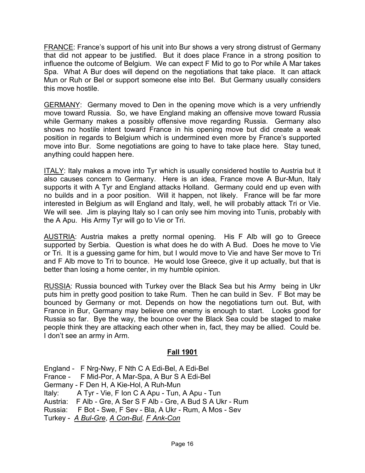FRANCE: France's support of his unit into Bur shows a very strong distrust of Germany that did not appear to be justified. But it does place France in a strong position to influence the outcome of Belgium. We can expect F Mid to go to Por while A Mar takes Spa. What A Bur does will depend on the negotiations that take place. It can attack Mun or Ruh or Bel or support someone else into Bel. But Germany usually considers this move hostile.

GERMANY: Germany moved to Den in the opening move which is a very unfriendly move toward Russia. So, we have England making an offensive move toward Russia while Germany makes a possibly offensive move regarding Russia. Germany also shows no hostile intent toward France in his opening move but did create a weak position in regards to Belgium which is undermined even more by France's supported move into Bur. Some negotiations are going to have to take place here. Stay tuned, anything could happen here.

ITALY: Italy makes a move into Tyr which is usually considered hostile to Austria but it also causes concern to Germany. Here is an idea, France move A Bur-Mun, Italy supports it with A Tyr and England attacks Holland. Germany could end up even with no builds and in a poor position. Will it happen, not likely. France will be far more interested in Belgium as will England and Italy, well, he will probably attack Tri or Vie. We will see. Jim is playing Italy so I can only see him moving into Tunis, probably with the A Apu. His Army Tyr will go to Vie or Tri.

AUSTRIA: Austria makes a pretty normal opening. His F Alb will go to Greece supported by Serbia. Question is what does he do with A Bud. Does he move to Vie or Tri. It is a guessing game for him, but I would move to Vie and have Ser move to Tri and F Alb move to Tri to bounce. He would lose Greece, give it up actually, but that is better than losing a home center, in my humble opinion.

RUSSIA: Russia bounced with Turkey over the Black Sea but his Army being in Ukr puts him in pretty good position to take Rum. Then he can build in Sev. F Bot may be bounced by Germany or mot. Depends on how the negotiations turn out. But, with France in Bur, Germany may believe one enemy is enough to start. Looks good for Russia so far. Bye the way, the bounce over the Black Sea could be staged to make people think they are attacking each other when in, fact, they may be allied. Could be. I don't see an army in Arm.

#### **Fall 1901**

England - F Nrg-Nwy, F Nth C A Edi-Bel, A Edi-Bel France - F Mid-Por, A Mar-Spa, A Bur S A Edi-Bel Germany - F Den H, A Kie-Hol, A Ruh-Mun Italy: A Tyr - Vie, F Ion C A Apu - Tun, A Apu - Tun Austria: F Alb - Gre, A Ser S F Alb - Gre, A Bud S A Ukr - Rum Russia: F Bot - Swe, F Sev - Bla, A Ukr - Rum, A Mos - Sev Turkey - *A Bul-Gre*, *A Con-Bul*, *F Ank-Con*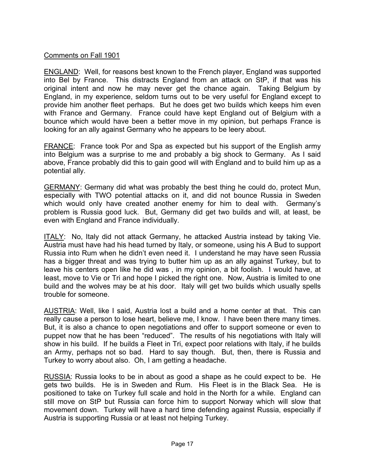### Comments on Fall 1901

ENGLAND: Well, for reasons best known to the French player, England was supported into Bel by France. This distracts England from an attack on StP, if that was his original intent and now he may never get the chance again. Taking Belgium by England, in my experience, seldom turns out to be very useful for England except to provide him another fleet perhaps. But he does get two builds which keeps him even with France and Germany. France could have kept England out of Belgium with a bounce which would have been a better move in my opinion, but perhaps France is looking for an ally against Germany who he appears to be leery about.

FRANCE: France took Por and Spa as expected but his support of the English army into Belgium was a surprise to me and probably a big shock to Germany. As I said above, France probably did this to gain good will with England and to build him up as a potential ally.

GERMANY: Germany did what was probably the best thing he could do, protect Mun, especially with TWO potential attacks on it, and did not bounce Russia in Sweden which would only have created another enemy for him to deal with. Germany's problem is Russia good luck. But, Germany did get two builds and will, at least, be even with England and France individually.

ITALY: No, Italy did not attack Germany, he attacked Austria instead by taking Vie. Austria must have had his head turned by Italy, or someone, using his A Bud to support Russia into Rum when he didn't even need it. I understand he may have seen Russia has a bigger threat and was trying to butter him up as an ally against Turkey, but to leave his centers open like he did was , in my opinion, a bit foolish. I would have, at least, move to Vie or Tri and hope I picked the right one. Now, Austria is limited to one build and the wolves may be at his door. Italy will get two builds which usually spells trouble for someone.

AUSTRIA: Well, like I said, Austria lost a build and a home center at that. This can really cause a person to lose heart, believe me, I know. I have been there many times. But, it is also a chance to open negotiations and offer to support someone or even to puppet now that he has been "reduced". The results of his negotiations with Italy will show in his build. If he builds a Fleet in Tri, expect poor relations with Italy, if he builds an Army, perhaps not so bad. Hard to say though. But, then, there is Russia and Turkey to worry about also. Oh, I am getting a headache.

RUSSIA: Russia looks to be in about as good a shape as he could expect to be. He gets two builds. He is in Sweden and Rum. His Fleet is in the Black Sea. He is positioned to take on Turkey full scale and hold in the North for a while. England can still move on StP but Russia can force him to support Norway which will slow that movement down. Turkey will have a hard time defending against Russia, especially if Austria is supporting Russia or at least not helping Turkey.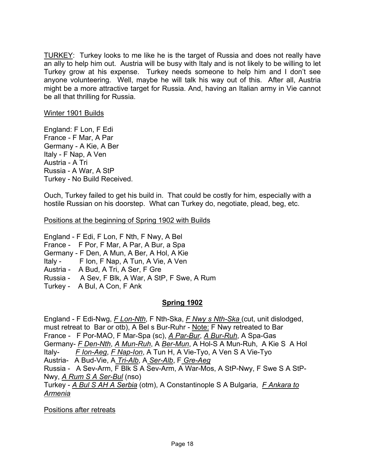TURKEY: Turkey looks to me like he is the target of Russia and does not really have an ally to help him out. Austria will be busy with Italy and is not likely to be willing to let Turkey grow at his expense. Turkey needs someone to help him and I don't see anyone volunteering. Well, maybe he will talk his way out of this. After all, Austria might be a more attractive target for Russia. And, having an Italian army in Vie cannot be all that thrilling for Russia.

#### Winter 1901 Builds

England: F Lon, F Edi France - F Mar, A Par Germany - A Kie, A Ber Italy - F Nap, A Ven Austria - A Tri Russia - A War, A StP Turkey - No Build Received.

Ouch, Turkey failed to get his build in. That could be costly for him, especially with a hostile Russian on his doorstep. What can Turkey do, negotiate, plead, beg, etc.

Positions at the beginning of Spring 1902 with Builds

England - F Edi, F Lon, F Nth, F Nwy, A Bel

France - F Por, F Mar, A Par, A Bur, a Spa

Germany - F Den, A Mun, A Ber, A Hol, A Kie

Italy - F Ion, F Nap, A Tun, A Vie, A Ven

- Austria A Bud, A Tri, A Ser, F Gre
- Russia A Sev, F Blk, A War, A StP, F Swe, A Rum
- Turkey A Bul, A Con, F Ank

### **Spring 1902**

England - F Edi-Nwg, *F Lon-Nth*, F Nth-Ska, *F Nwy s Nth-Ska* (cut, unit dislodged, must retreat to Bar or otb), A Bel s Bur-Ruhr - Note: F Nwy retreated to Bar France - F Por-MAO, F Mar-Spa (sc), *A Par-Bur*, *A Bur-Ruh*, A Spa-Gas Germany- *F Den-Nth*, *A Mun-Ruh*, A *Ber-Mun*, A Hol-S A Mun-Ruh, A Kie S A Hol Italy- *F Ion-Aeg*, *F Nap-Ion*, A Tun H, A Vie-Tyo, A Ven S A Vie-Tyo Austria- A Bud-Vie, A *Tri-Alb*, A *Ser-Alb*, F *Gre-Aeg* Russia - A Sev-Arm, F Blk S A Sev-Arm, A War-Mos, A StP-Nwy, F Swe S A StP-Nwy, *A Rum S A Ser-Bul* (nso) Turkey - *A Bul S AH A Serbia* (otm), A Constantinople S A Bulgaria, *F Ankara to Armenia* 

Positions after retreats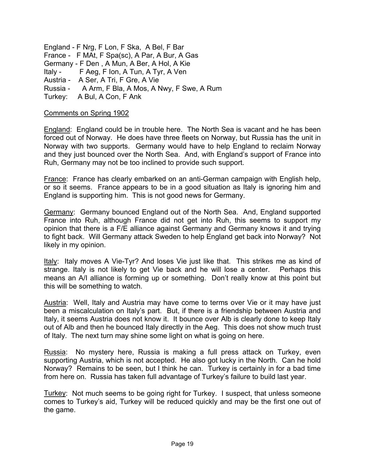England - F Nrg, F Lon, F Ska, A Bel, F Bar France - F MAt, F Spa(sc), A Par, A Bur, A Gas Germany - F Den , A Mun, A Ber, A Hol, A Kie Italy - F Aeg, F Ion, A Tun, A Tyr, A Ven Austria - A Ser, A Tri, F Gre, A Vie Russia - A Arm, F Bla, A Mos, A Nwy, F Swe, A Rum Turkey: A Bul, A Con, F Ank

#### Comments on Spring 1902

England: England could be in trouble here. The North Sea is vacant and he has been forced out of Norway. He does have three fleets on Norway, but Russia has the unit in Norway with two supports. Germany would have to help England to reclaim Norway and they just bounced over the North Sea. And, with England's support of France into Ruh, Germany may not be too inclined to provide such support.

France: France has clearly embarked on an anti-German campaign with English help, or so it seems. France appears to be in a good situation as Italy is ignoring him and England is supporting him. This is not good news for Germany.

Germany: Germany bounced England out of the North Sea. And, England supported France into Ruh, although France did not get into Ruh, this seems to support my opinion that there is a F/E alliance against Germany and Germany knows it and trying to fight back. Will Germany attack Sweden to help England get back into Norway? Not likely in my opinion.

Italy: Italy moves A Vie-Tyr? And loses Vie just like that. This strikes me as kind of strange. Italy is not likely to get Vie back and he will lose a center. Perhaps this means an A/I alliance is forming up or something. Don't really know at this point but this will be something to watch.

Austria: Well, Italy and Austria may have come to terms over Vie or it may have just been a miscalculation on Italy's part. But, if there is a friendship between Austria and Italy, it seems Austria does not know it. It bounce over Alb is clearly done to keep Italy out of Alb and then he bounced Italy directly in the Aeg. This does not show much trust of Italy. The next turn may shine some light on what is going on here.

Russia: No mystery here, Russia is making a full press attack on Turkey, even supporting Austria, which is not accepted. He also got lucky in the North. Can he hold Norway? Remains to be seen, but I think he can. Turkey is certainly in for a bad time from here on. Russia has taken full advantage of Turkey's failure to build last year.

Turkey: Not much seems to be going right for Turkey. I suspect, that unless someone comes to Turkey's aid, Turkey will be reduced quickly and may be the first one out of the game.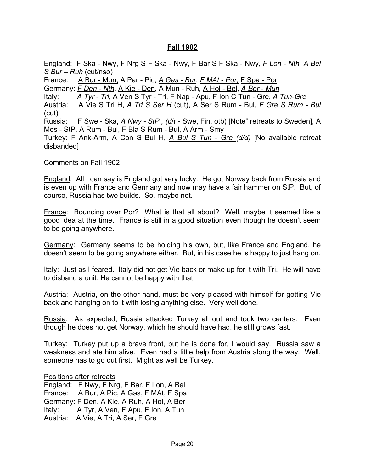#### **Fall 1902**

England: F Ska - Nwy, F Nrg S F Ska - Nwy, F Bar S F Ska - Nwy, *F Lon - Nth, A Bel S Bur – Ruh* (cut/nso) France: A Bur - Mun, A Par - Pic, *A Gas - Bur*; *F MAt - Por,* F Spa - Por Germany: *F Den - Nth*, A Kie - Den*,* A Mun - Ruh, A Hol - Bel, *A Ber - Mun*  Italy: *A Tyr - Tri*, A Ven S Tyr - Tri, F Nap - Apu, F Ion C Tun - Gre, *A Tun-Gre* Austria: A Vie S Tri H, *A Tri S Ser H* (cut), A Ser S Rum - Bul, *F Gre S Rum - Bul*  (cut) Russia: F Swe - Ska, *A Nwy - StP , (d*/r - Swe, Fin, otb) [Note" retreats to Sweden], A Mos - StP, A Rum - Bul, F Bla S Rum - Bul, A Arm - Smy Turkey: F Ank-Arm, A Con S Bul H, *A Bul S Tun - Gre (d/d)* [No available retreat disbanded]

#### Comments on Fall 1902

England: All I can say is England got very lucky. He got Norway back from Russia and is even up with France and Germany and now may have a fair hammer on StP. But, of course, Russia has two builds. So, maybe not.

France: Bouncing over Por? What is that all about? Well, maybe it seemed like a good idea at the time. France is still in a good situation even though he doesn't seem to be going anywhere.

Germany: Germany seems to be holding his own, but, like France and England, he doesn't seem to be going anywhere either. But, in his case he is happy to just hang on.

Italy: Just as I feared. Italy did not get Vie back or make up for it with Tri. He will have to disband a unit. He cannot be happy with that.

Austria: Austria, on the other hand, must be very pleased with himself for getting Vie back and hanging on to it with losing anything else. Very well done.

Russia: As expected, Russia attacked Turkey all out and took two centers. Even though he does not get Norway, which he should have had, he still grows fast.

Turkey: Turkey put up a brave front, but he is done for, I would say. Russia saw a weakness and ate him alive. Even had a little help from Austria along the way. Well, someone has to go out first. Might as well be Turkey.

#### Positions after retreats

England: F Nwy, F Nrg, F Bar, F Lon, A Bel France: A Bur, A Pic, A Gas, F MAt, F Spa Germany: F Den, A Kie, A Ruh, A Hol, A Ber Italy: A Tyr, A Ven, F Apu, F Ion, A Tun Austria: A Vie, A Tri, A Ser, F Gre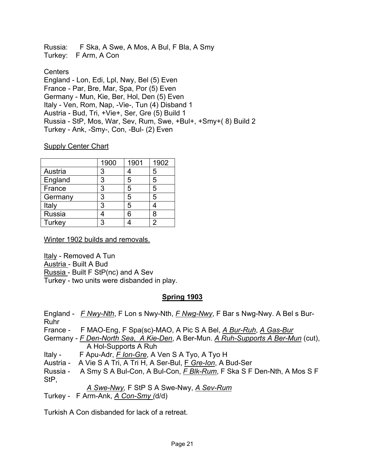Russia: F Ska, A Swe, A Mos, A Bul, F Bla, A Smy Turkey: F Arm, A Con

**Centers** 

England - Lon, Edi, Lpl, Nwy, Bel (5) Even France - Par, Bre, Mar, Spa, Por (5) Even Germany - Mun, Kie, Ber, Hol, Den (5) Even Italy - Ven, Rom, Nap, -Vie-, Tun (4) Disband 1 Austria - Bud, Tri, +Vie+, Ser, Gre (5) Build 1 Russia - StP, Mos, War, Sev, Rum, Swe, +Bul+, +Smy+( 8) Build 2 Turkey - Ank, -Smy-, Con, -Bul- (2) Even

### **Supply Center Chart**

|         | 1900 | 1901 | 1902 |
|---------|------|------|------|
| Austria | 3    |      | 5    |
| England | 3    | 5    | 5    |
| France  | 3    | 5    | 5    |
| Germany | 3    | 5    | 5    |
| Italy   | 3    | 5    |      |
| Russia  |      | 6    | 8    |
| Turkey  | 3    |      |      |

Winter 1902 builds and removals.

Italy - Removed A Tun Austria - Built A Bud Russia - Built F StP(nc) and A Sev Turkey - two units were disbanded in play.

# **Spring 1903**

England - *F Nwy-Nth*, F Lon s Nwy-Nth, *F Nwg-Nwy*, F Bar s Nwg-Nwy. A Bel s Bur-Ruhr France - F MAO-Eng, F Spa(sc)-MAO, A Pic S A Bel, *A Bur-Ruh*, *A Gas-Bur*  Germany - *F Den-North Sea*, *A Kie-Den*, A Ber-Mun. *A Ruh-Supports A Ber-Mun* (cut), A Hol-Supports A Ruh Italy - F Apu-Adr, *F Ion-Gre*, A Ven S A Tyo, A Tyo H Austria - A Vie S A Tri, A Tri H, A Ser-Bul, F *Gre-Ion*, A Bud-Ser Russia - A Smy S A Bul-Con, A Bul-Con, *F Blk-Rum*, F Ska S F Den-Nth, A Mos S F StP, *A Swe-Nwy,* F StP S A Swe-Nwy, *A Sev-Rum* Turkey - F Arm-Ank, *A Con-Smy (*d/d)

Turkish A Con disbanded for lack of a retreat.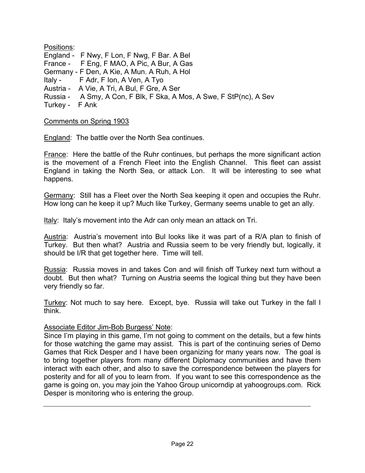Positions: England - F Nwy, F Lon, F Nwg, F Bar. A Bel France - F Eng, F MAO, A Pic, A Bur, A Gas Germany - F Den, A Kie, A Mun. A Ruh, A Hol Italy - F Adr, F Ion, A Ven, A Tyo Austria - A Vie, A Tri, A Bul, F Gre, A Ser Russia - A Smy, A Con, F Blk, F Ska, A Mos, A Swe, F StP(nc), A Sev Turkey - F Ank

#### Comments on Spring 1903

England: The battle over the North Sea continues.

France: Here the battle of the Ruhr continues, but perhaps the more significant action is the movement of a French Fleet into the English Channel. This fleet can assist England in taking the North Sea, or attack Lon. It will be interesting to see what happens.

Germany: Still has a Fleet over the North Sea keeping it open and occupies the Ruhr. How long can he keep it up? Much like Turkey, Germany seems unable to get an ally.

Italy: Italy's movement into the Adr can only mean an attack on Tri.

Austria: Austria's movement into Bul looks like it was part of a R/A plan to finish of Turkey. But then what? Austria and Russia seem to be very friendly but, logically, it should be I/R that get together here. Time will tell.

Russia: Russia moves in and takes Con and will finish off Turkey next turn without a doubt. But then what? Turning on Austria seems the logical thing but they have been very friendly so far.

Turkey: Not much to say here. Except, bye. Russia will take out Turkey in the fall I think.

#### Associate Editor Jim-Bob Burgess' Note:

Since I'm playing in this game, I'm not going to comment on the details, but a few hints for those watching the game may assist. This is part of the continuing series of Demo Games that Rick Desper and I have been organizing for many years now. The goal is to bring together players from many different Diplomacy communities and have them interact with each other, and also to save the correspondence between the players for posterity and for all of you to learn from. If you want to see this correspondence as the game is going on, you may join the Yahoo Group unicorndip at yahoogroups.com. Rick Desper is monitoring who is entering the group.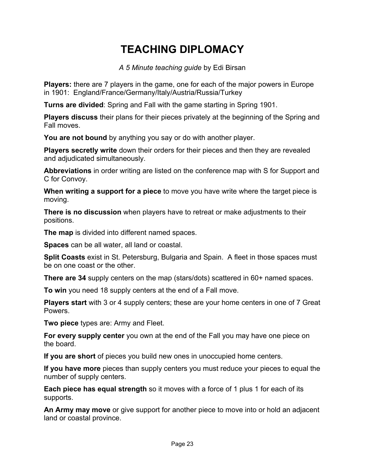# **TEACHING DIPLOMACY**

*A 5 Minute teaching guide* by Edi Birsan

**Players:** there are 7 players in the game, one for each of the major powers in Europe in 1901: England/France/Germany/Italy/Austria/Russia/Turkey

**Turns are divided**: Spring and Fall with the game starting in Spring 1901.

**Players discuss** their plans for their pieces privately at the beginning of the Spring and Fall moves.

**You are not bound** by anything you say or do with another player.

**Players secretly write** down their orders for their pieces and then they are revealed and adjudicated simultaneously.

**Abbreviations** in order writing are listed on the conference map with S for Support and C for Convoy.

**When writing a support for a piece** to move you have write where the target piece is moving.

**There is no discussion** when players have to retreat or make adjustments to their positions.

**The map** is divided into different named spaces.

**Spaces** can be all water, all land or coastal.

**Split Coasts** exist in St. Petersburg, Bulgaria and Spain. A fleet in those spaces must be on one coast or the other.

**There are 34** supply centers on the map (stars/dots) scattered in 60+ named spaces.

**To win** you need 18 supply centers at the end of a Fall move.

**Players start** with 3 or 4 supply centers; these are your home centers in one of 7 Great Powers.

**Two piece** types are: Army and Fleet.

**For every supply center** you own at the end of the Fall you may have one piece on the board.

**If you are short** of pieces you build new ones in unoccupied home centers.

**If you have more** pieces than supply centers you must reduce your pieces to equal the number of supply centers.

**Each piece has equal strength** so it moves with a force of 1 plus 1 for each of its supports.

**An Army may move** or give support for another piece to move into or hold an adjacent land or coastal province.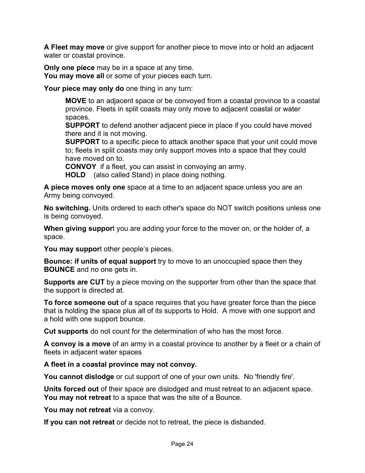**A Fleet may move** or give support for another piece to move into or hold an adjacent water or coastal province.

**Only one piece** may be in a space at any time. **You may move all** or some of your pieces each turn.

**Your piece may only do** one thing in any turn:

**MOVE** to an adjacent space or be convoyed from a coastal province to a coastal province. Fleets in split coasts may only move to adjacent coastal or water spaces.

**SUPPORT** to defend another adjacent piece in place if you could have moved there and it is not moving.

**SUPPORT** to a specific piece to attack another space that your unit could move to; fleets in split coasts may only support moves into a space that they could have moved on to.

**CONVOY** if a fleet, you can assist in convoying an army. **HOLD** (also called Stand) in place doing nothing.

**A piece moves only one** space at a time to an adjacent space unless you are an Army being convoyed.

**No switching.** Units ordered to each other's space do NOT switch positions unless one is being convoyed.

**When giving suppor**t you are adding your force to the mover on, or the holder of, a space.

**You may suppor**t other people's pieces.

**Bounce: if units of equal support** try to move to an unoccupied space then they **BOUNCE** and no one gets in.

**Supports are CUT** by a piece moving on the supporter from other than the space that the support is directed at.

**To force someone out** of a space requires that you have greater force than the piece that is holding the space plus all of its supports to Hold. A move with one support and a hold with one support bounce.

**Cut supports** do not count for the determination of who has the most force.

**A convoy is a move** of an army in a coastal province to another by a fleet or a chain of fleets in adjacent water spaces

**A fleet in a coastal province may not convoy.** 

**You cannot dislodge** or cut support of one of your own units. No 'friendly fire'.

**Units forced out** of their space are dislodged and must retreat to an adjacent space. **You may not retreat** to a space that was the site of a Bounce.

**You may not retreat** via a convoy.

**If you can not retreat** or decide not to retreat, the piece is disbanded.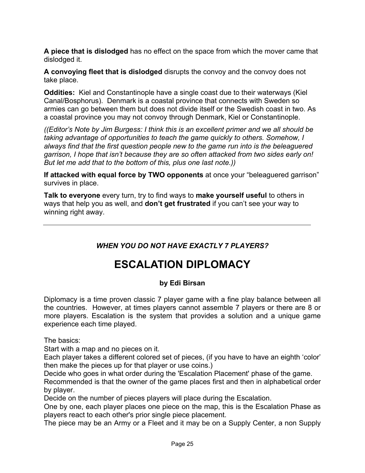**A piece that is dislodged** has no effect on the space from which the mover came that dislodged it.

**A convoying fleet that is dislodged** disrupts the convoy and the convoy does not take place.

**Oddities:** Kiel and Constantinople have a single coast due to their waterways (Kiel Canal/Bosphorus). Denmark is a coastal province that connects with Sweden so armies can go between them but does not divide itself or the Swedish coast in two. As a coastal province you may not convoy through Denmark, Kiel or Constantinople.

*((Editor's Note by Jim Burgess: I think this is an excellent primer and we all should be taking advantage of opportunities to teach the game quickly to others. Somehow, I always find that the first question people new to the game run into is the beleaguered garrison, I hope that isn't because they are so often attacked from two sides early on! But let me add that to the bottom of this, plus one last note.))* 

**If attacked with equal force by TWO opponents** at once your "beleaguered garrison" survives in place.

**Talk to everyone** every turn, try to find ways to **make yourself useful** to others in ways that help you as well, and **don't get frustrated** if you can't see your way to winning right away.

*WHEN YOU DO NOT HAVE EXACTLY 7 PLAYERS?* 

# **ESCALATION DIPLOMACY**

# **by Edi Birsan**

Diplomacy is a time proven classic 7 player game with a fine play balance between all the countries. However, at times players cannot assemble 7 players or there are 8 or more players. Escalation is the system that provides a solution and a unique game experience each time played.

The basics:

Start with a map and no pieces on it.

Each player takes a different colored set of pieces, (if you have to have an eighth 'color' then make the pieces up for that player or use coins.)

Decide who goes in what order during the 'Escalation Placement' phase of the game. Recommended is that the owner of the game places first and then in alphabetical order by player.

Decide on the number of pieces players will place during the Escalation.

One by one, each player places one piece on the map, this is the Escalation Phase as players react to each other's prior single piece placement.

The piece may be an Army or a Fleet and it may be on a Supply Center, a non Supply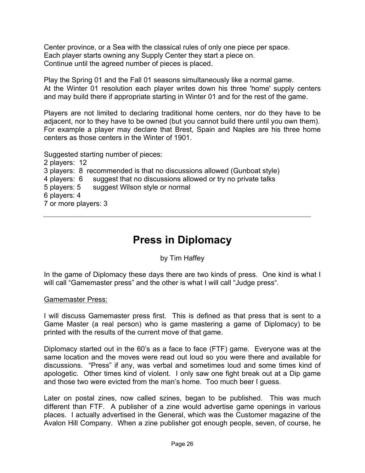Center province, or a Sea with the classical rules of only one piece per space. Each player starts owning any Supply Center they start a piece on. Continue until the agreed number of pieces is placed.

Play the Spring 01 and the Fall 01 seasons simultaneously like a normal game. At the Winter 01 resolution each player writes down his three 'home' supply centers and may build there if appropriate starting in Winter 01 and for the rest of the game.

Players are not limited to declaring traditional home centers, nor do they have to be adjacent, nor to they have to be owned (but you cannot build there until you own them). For example a player may declare that Brest, Spain and Naples are his three home centers as those centers in the Winter of 1901.

Suggested starting number of pieces:

2 players: 12 3 players: 8 recommended is that no discussions allowed (Gunboat style) 4 players: 6 suggest that no discussions allowed or try no private talks 5 players: 5 suggest Wilson style or normal 6 players: 4 7 or more players: 3

# **Press in Diplomacy**

by Tim Haffey

In the game of Diplomacy these days there are two kinds of press. One kind is what I will call "Gamemaster press" and the other is what I will call "Judge press".

Gamemaster Press:

I will discuss Gamemaster press first. This is defined as that press that is sent to a Game Master (a real person) who is game mastering a game of Diplomacy) to be printed with the results of the current move of that game.

Diplomacy started out in the 60's as a face to face (FTF) game. Everyone was at the same location and the moves were read out loud so you were there and available for discussions. "Press" if any, was verbal and sometimes loud and some times kind of apologetic. Other times kind of violent. I only saw one fight break out at a Dip game and those two were evicted from the man's home. Too much beer I guess.

Later on postal zines, now called szines, began to be published. This was much different than FTF. A publisher of a zine would advertise game openings in various places. I actually advertised in the General, which was the Customer magazine of the Avalon Hill Company. When a zine publisher got enough people, seven, of course, he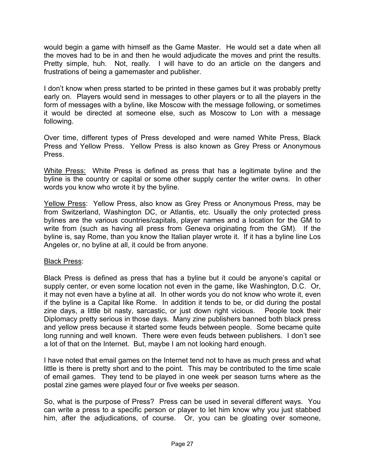would begin a game with himself as the Game Master. He would set a date when all the moves had to be in and then he would adjudicate the moves and print the results. Pretty simple, huh. Not, really. I will have to do an article on the dangers and frustrations of being a gamemaster and publisher.

I don't know when press started to be printed in these games but it was probably pretty early on. Players would send in messages to other players or to all the players in the form of messages with a byline, like Moscow with the message following, or sometimes it would be directed at someone else, such as Moscow to Lon with a message following.

Over time, different types of Press developed and were named White Press, Black Press and Yellow Press. Yellow Press is also known as Grey Press or Anonymous Press.

White Press: White Press is defined as press that has a legitimate byline and the byline is the country or capital or some other supply center the writer owns. In other words you know who wrote it by the byline.

Yellow Press: Yellow Press, also know as Grey Press or Anonymous Press, may be from Switzerland, Washington DC, or Atlantis, etc. Usually the only protected press bylines are the various countries/capitals, player names and a location for the GM to write from (such as having all press from Geneva originating from the GM). If the byline is, say Rome, than you know the Italian player wrote it. If it has a byline line Los Angeles or, no byline at all, it could be from anyone.

#### **Black Press:**

Black Press is defined as press that has a byline but it could be anyone's capital or supply center, or even some location not even in the game, like Washington, D.C. Or, it may not even have a byline at all. In other words you do not know who wrote it, even if the byline is a Capital like Rome. In addition it tends to be, or did during the postal zine days, a little bit nasty, sarcastic, or just down right vicious. People took their Diplomacy pretty serious in those days. Many zine publishers banned both black press and yellow press because it started some feuds between people. Some became quite long running and well known. There were even feuds between publishers. I don't see a lot of that on the Internet. But, maybe I am not looking hard enough.

I have noted that email games on the Internet tend not to have as much press and what little is there is pretty short and to the point. This may be contributed to the time scale of email games. They tend to be played in one week per season turns where as the postal zine games were played four or five weeks per season.

So, what is the purpose of Press? Press can be used in several different ways. You can write a press to a specific person or player to let him know why you just stabbed him, after the adjudications, of course. Or, you can be gloating over someone,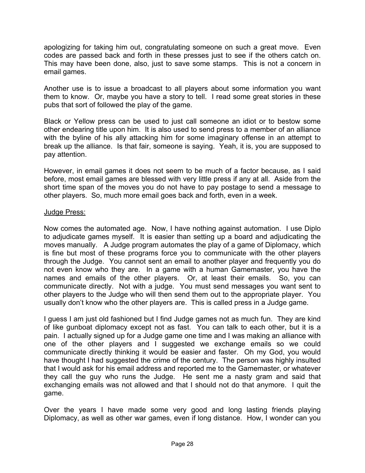apologizing for taking him out, congratulating someone on such a great move. Even codes are passed back and forth in these presses just to see if the others catch on. This may have been done, also, just to save some stamps. This is not a concern in email games.

Another use is to issue a broadcast to all players about some information you want them to know. Or, maybe you have a story to tell. I read some great stories in these pubs that sort of followed the play of the game.

Black or Yellow press can be used to just call someone an idiot or to bestow some other endearing title upon him. It is also used to send press to a member of an alliance with the byline of his ally attacking him for some imaginary offense in an attempt to break up the alliance. Is that fair, someone is saying. Yeah, it is, you are supposed to pay attention.

However, in email games it does not seem to be much of a factor because, as I said before, most email games are blessed with very little press if any at all. Aside from the short time span of the moves you do not have to pay postage to send a message to other players. So, much more email goes back and forth, even in a week.

#### Judge Press:

Now comes the automated age. Now, I have nothing against automation. I use Diplo to adjudicate games myself. It is easier than setting up a board and adjudicating the moves manually. A Judge program automates the play of a game of Diplomacy, which is fine but most of these programs force you to communicate with the other players through the Judge. You cannot sent an email to another player and frequently you do not even know who they are. In a game with a human Gamemaster, you have the names and emails of the other players. Or, at least their emails. So, you can communicate directly. Not with a judge. You must send messages you want sent to other players to the Judge who will then send them out to the appropriate player. You usually don't know who the other players are. This is called press in a Judge game.

I guess I am just old fashioned but I find Judge games not as much fun. They are kind of like gunboat diplomacy except not as fast. You can talk to each other, but it is a pain. I actually signed up for a Judge game one time and I was making an alliance with one of the other players and I suggested we exchange emails so we could communicate directly thinking it would be easier and faster. Oh my God, you would have thought I had suggested the crime of the century. The person was highly insulted that I would ask for his email address and reported me to the Gamemaster, or whatever they call the guy who runs the Judge. He sent me a nasty gram and said that exchanging emails was not allowed and that I should not do that anymore. I quit the game.

Over the years I have made some very good and long lasting friends playing Diplomacy, as well as other war games, even if long distance. How, I wonder can you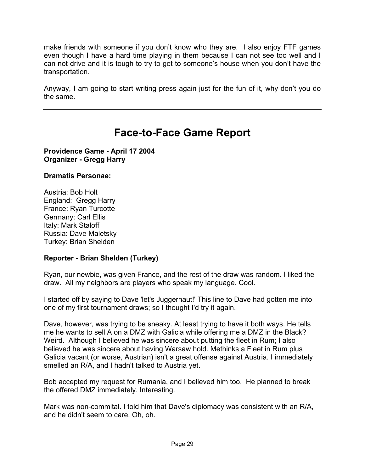make friends with someone if you don't know who they are. I also enjoy FTF games even though I have a hard time playing in them because I can not see too well and I can not drive and it is tough to try to get to someone's house when you don't have the transportation.

Anyway, I am going to start writing press again just for the fun of it, why don't you do the same.

# **Face-to-Face Game Report**

**Providence Game - April 17 2004 Organizer - Gregg Harry**

### **Dramatis Personae:**

Austria: Bob Holt England: Gregg Harry France: Ryan Turcotte Germany: Carl Ellis Italy: Mark Staloff Russia: Dave Maletsky Turkey: Brian Shelden

### **Reporter - Brian Shelden (Turkey)**

Ryan, our newbie, was given France, and the rest of the draw was random. I liked the draw. All my neighbors are players who speak my language. Cool.

I started off by saying to Dave 'let's Juggernaut!' This line to Dave had gotten me into one of my first tournament draws; so I thought I'd try it again.

Dave, however, was trying to be sneaky. At least trying to have it both ways. He tells me he wants to sell A on a DMZ with Galicia while offering me a DMZ in the Black? Weird. Although I believed he was sincere about putting the fleet in Rum; I also believed he was sincere about having Warsaw hold. Methinks a Fleet in Rum plus Galicia vacant (or worse, Austrian) isn't a great offense against Austria. I immediately smelled an R/A, and I hadn't talked to Austria yet.

Bob accepted my request for Rumania, and I believed him too. He planned to break the offered DMZ immediately. Interesting.

Mark was non-commital. I told him that Dave's diplomacy was consistent with an R/A, and he didn't seem to care. Oh, oh.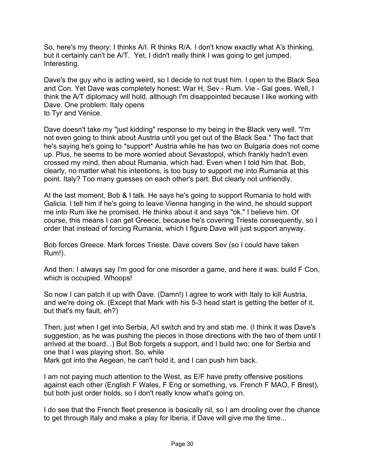So, here's my theory: I thinks A/I. R thinks R/A. I don't know exactly what A's thinking, but it certainly can't be A/T. Yet, I didn't really think I was going to get jumped. Interesting.

Dave's the guy who is acting weird, so I decide to not trust him. I open to the Black Sea and Con. Yet Dave was completely honest: War H, Sev - Rum. Vie - Gal goes. Well, I think the A/T diplomacy will hold, although I'm disappointed because I like working with Dave. One problem: Italy opens to Tyr and Venice.

Dave doesn't take my "just kidding" response to my being in the Black very well. "I'm not even going to think about Austria until you get out of the Black Sea." The fact that he's saying he's going to \*support\* Austria while he has two on Bulgaria does not come up. Plus, he seems to be more worried about Sevastopol, which frankly hadn't even crossed my mind, then about Rumania, which had. Even when I told him that. Bob, clearly, no matter what his intentions, is too busy to support me into Rumania at this point. Italy? Too many guesses on each other's part. But clearly not unfriendly.

At the last moment, Bob & I talk. He says he's going to support Rumania to hold with Galicia. I tell him if he's going to leave Vienna hanging in the wind, he should support me into Rum like he promised. He thinks about it and says "ok." I believe him. Of course, this means I can get Greece, because he's covering Trieste consequently, so I order that instead of forcing Rumania, which I figure Dave will just support anyway.

Bob forces Greece. Mark forces Trieste. Dave covers Sev (so I could have taken Rum!).

And then: I always say I'm good for one misorder a game, and here it was: build F Con, which is occupied. Whoops!

So now I can patch it up with Dave. (Damn!) I agree to work with Italy to kill Austria, and we're doing ok. (Except that Mark with his 5-3 head start is getting the better of it, but that's my fault, eh?)

Then, just when I get into Serbia, A/I switch and try and stab me. (I think it was Dave's suggestion, as he was pushing the pieces in those directions with the two of them until I arrived at the board...) But Bob forgets a support, and I build two; one for Serbia and one that I was playing short. So, while Mark got into the Aegean, he can't hold it, and I can push him back.

I am not paying much attention to the West, as E/F have pretty offensive positions against each other (English F Wales, F Eng or something, vs. French F MAO, F Brest), but both just order holds, so I don't really know what's going on.

I do see that the French fleet presence is basically nil, so I am drooling over the chance to get through Italy and make a play for Iberia, if Dave will give me the time...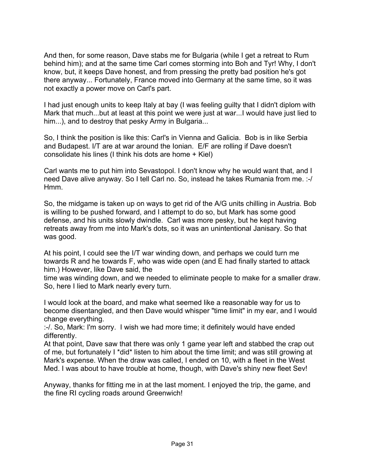And then, for some reason, Dave stabs me for Bulgaria (while I get a retreat to Rum behind him); and at the same time Carl comes storming into Boh and Tyr! Why, I don't know, but, it keeps Dave honest, and from pressing the pretty bad position he's got there anyway... Fortunately, France moved into Germany at the same time, so it was not exactly a power move on Carl's part.

I had just enough units to keep Italy at bay (I was feeling guilty that I didn't diplom with Mark that much...but at least at this point we were just at war...I would have just lied to him...), and to destroy that pesky Army in Bulgaria...

So, I think the position is like this: Carl's in Vienna and Galicia. Bob is in like Serbia and Budapest. I/T are at war around the Ionian. E/F are rolling if Dave doesn't consolidate his lines (I think his dots are home + Kiel)

Carl wants me to put him into Sevastopol. I don't know why he would want that, and I need Dave alive anyway. So I tell Carl no. So, instead he takes Rumania from me. :-/ Hmm.

So, the midgame is taken up on ways to get rid of the A/G units chilling in Austria. Bob is willing to be pushed forward, and I attempt to do so, but Mark has some good defense, and his units slowly dwindle. Carl was more pesky, but he kept having retreats away from me into Mark's dots, so it was an unintentional Janisary. So that was good.

At his point, I could see the I/T war winding down, and perhaps we could turn me towards R and he towards F, who was wide open (and E had finally started to attack him.) However, like Dave said, the

time was winding down, and we needed to eliminate people to make for a smaller draw. So, here I lied to Mark nearly every turn.

I would look at the board, and make what seemed like a reasonable way for us to become disentangled, and then Dave would whisper "time limit" in my ear, and I would change everything.

:-/. So, Mark: I'm sorry. I wish we had more time; it definitely would have ended differently.

At that point, Dave saw that there was only 1 game year left and stabbed the crap out of me, but fortunately I \*did\* listen to him about the time limit; and was still growing at Mark's expense. When the draw was called, I ended on 10, with a fleet in the West Med. I was about to have trouble at home, though, with Dave's shiny new fleet Sev!

Anyway, thanks for fitting me in at the last moment. I enjoyed the trip, the game, and the fine RI cycling roads around Greenwich!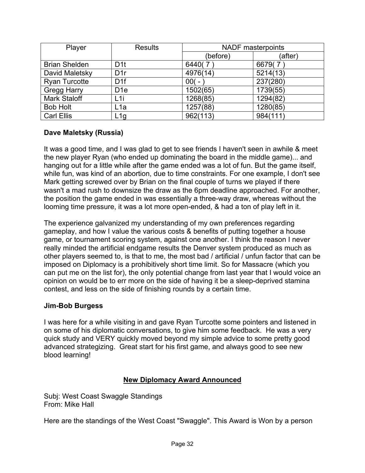| Player               | <b>Results</b>   | <b>NADF</b> masterpoints |          |
|----------------------|------------------|--------------------------|----------|
|                      |                  | (before)                 | (after)  |
| <b>Brian Shelden</b> | D <sub>1</sub> t | 6440(7                   | 6679(7   |
| David Maletsky       | D1r              | 4976(14)                 | 5214(13) |
| <b>Ryan Turcotte</b> | D <sub>1f</sub>  | $00( -$                  | 237(280) |
| <b>Gregg Harry</b>   | D <sub>1e</sub>  | 1502(65)                 | 1739(55) |
| <b>Mark Staloff</b>  | L <sub>1</sub> i | 1268(85)                 | 1294(82) |
| <b>Bob Holt</b>      | L <sub>1</sub> a | 1257(88)                 | 1280(85) |
| <b>Carl Ellis</b>    | L1g              | 962(113)                 | 984(111) |

### **Dave Maletsky (Russia)**

It was a good time, and I was glad to get to see friends I haven't seen in awhile & meet the new player Ryan (who ended up dominating the board in the middle game)... and hanging out for a little while after the game ended was a lot of fun. But the game itself, while fun, was kind of an abortion, due to time constraints. For one example, I don't see Mark getting screwed over by Brian on the final couple of turns we played if there wasn't a mad rush to downsize the draw as the 6pm deadline approached. For another, the position the game ended in was essentially a three-way draw, whereas without the looming time pressure, it was a lot more open-ended, & had a ton of play left in it.

The experience galvanized my understanding of my own preferences regarding gameplay, and how I value the various costs & benefits of putting together a house game, or tournament scoring system, against one another. I think the reason I never really minded the artificial endgame results the Denver system produced as much as other players seemed to, is that to me, the most bad / artificial / unfun factor that can be imposed on Diplomacy is a prohibitively short time limit. So for Massacre (which you can put me on the list for), the only potential change from last year that I would voice an opinion on would be to err more on the side of having it be a sleep-deprived stamina contest, and less on the side of finishing rounds by a certain time.

### **Jim-Bob Burgess**

I was here for a while visiting in and gave Ryan Turcotte some pointers and listened in on some of his diplomatic conversations, to give him some feedback. He was a very quick study and VERY quickly moved beyond my simple advice to some pretty good advanced strategizing. Great start for his first game, and always good to see new blood learning!

### **New Diplomacy Award Announced**

Subj: West Coast Swaggle Standings From: Mike Hall

Here are the standings of the West Coast "Swaggle". This Award is Won by a person